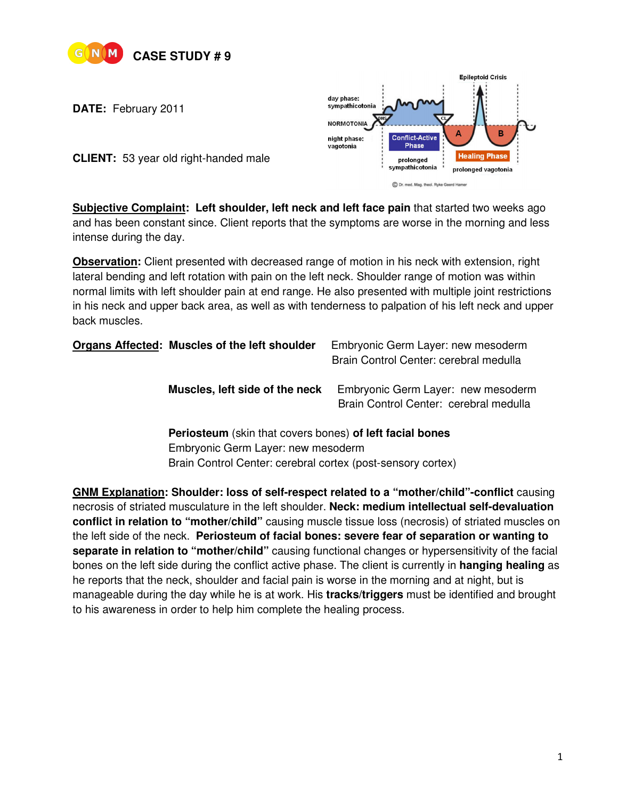

**DATE:** February 2011



**CLIENT:** 53 year old right-handed male

**Subjective Complaint: Left shoulder, left neck and left face pain** that started two weeks ago and has been constant since. Client reports that the symptoms are worse in the morning and less intense during the day.

**Observation:** Client presented with decreased range of motion in his neck with extension, right lateral bending and left rotation with pain on the left neck. Shoulder range of motion was within normal limits with left shoulder pain at end range. He also presented with multiple joint restrictions in his neck and upper back area, as well as with tenderness to palpation of his left neck and upper back muscles.

|                                                                                                                                                                                                          | Organs Affected: Muscles of the left shoulder | Embryonic Germ Layer: new mesoderm<br>Brain Control Center: cerebral medulla                                                                                  |  |
|----------------------------------------------------------------------------------------------------------------------------------------------------------------------------------------------------------|-----------------------------------------------|---------------------------------------------------------------------------------------------------------------------------------------------------------------|--|
|                                                                                                                                                                                                          | Muscles, left side of the neck                | Embryonic Germ Layer: new mesoderm<br>Brain Control Center: cerebral medulla                                                                                  |  |
|                                                                                                                                                                                                          |                                               | Periosteum (skin that covers bones) of left facial bones<br>Embryonic Germ Layer: new mesoderm<br>Brain Control Center: cerebral cortex (post-sensory cortex) |  |
| <b>GNM Explanation: Shoulder: loss of self-respect related to a "mother/child"-conflict causing</b><br>necrosis of striated musculature in the left shoulder. Neck: medium intellectual self-devaluation |                                               |                                                                                                                                                               |  |

necrosis of striated musculature in the left shoulder. **Neck: medium intellectual self-devaluation conflict in relation to "mother/child"** causing muscle tissue loss (necrosis) of striated muscles on the left side of the neck. **Periosteum of facial bones: severe fear of separation or wanting to separate in relation to "mother/child"** causing functional changes or hypersensitivity of the facial bones on the left side during the conflict active phase. The client is currently in **hanging healing** as he reports that the neck, shoulder and facial pain is worse in the morning and at night, but is manageable during the day while he is at work. His **tracks/triggers** must be identified and brought to his awareness in order to help him complete the healing process.